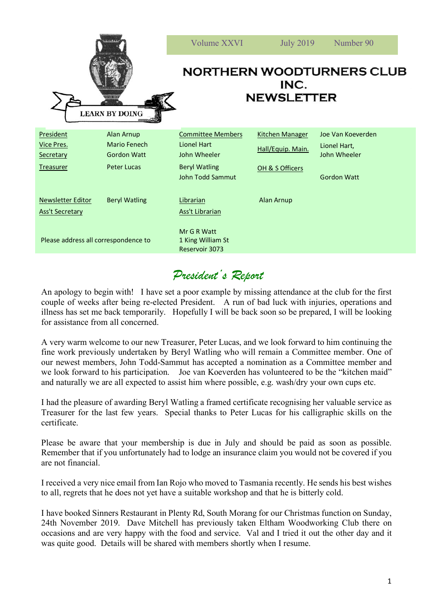|                                                    |                                           | Volume XXVI                                                   | <b>July 2019</b>       | Number 90                    |
|----------------------------------------------------|-------------------------------------------|---------------------------------------------------------------|------------------------|------------------------------|
|                                                    | <b>EXTER 578</b><br><b>LEARN BY DOING</b> | <b>NORTHERN WOODTURNERS CLUB</b><br>INC.<br><b>NEWSLETTER</b> |                        |                              |
| President                                          | <b>Alan Arnup</b>                         | <b>Committee Members</b>                                      | <b>Kitchen Manager</b> | Joe Van Koeverden            |
| Vice Pres.<br>Secretary                            | Mario Fenech<br><b>Gordon Watt</b>        | <b>Lionel Hart</b><br>John Wheeler                            | Hall/Equip. Main.      | Lionel Hart,<br>John Wheeler |
| <b>Treasurer</b>                                   | <b>Peter Lucas</b>                        | <b>Beryl Watling</b><br>John Todd Sammut                      | OH & S Officers        | <b>Gordon Watt</b>           |
| <b>Newsletter Editor</b><br><b>Ass't Secretary</b> | <b>Beryl Watling</b>                      | Librarian<br><b>Ass't Librarian</b>                           | Alan Arnup             |                              |
| Please address all correspondence to               |                                           | Mr G R Watt<br>1 King William St<br>Reservoir 3073            |                        |                              |

## *President's Report*

An apology to begin with! I have set a poor example by missing attendance at the club for the first couple of weeks after being re-elected President. A run of bad luck with injuries, operations and illness has set me back temporarily. Hopefully I will be back soon so be prepared, I will be looking for assistance from all concerned.

A very warm welcome to our new Treasurer, Peter Lucas, and we look forward to him continuing the fine work previously undertaken by Beryl Watling who will remain a Committee member. One of our newest members, John Todd-Sammut has accepted a nomination as a Committee member and we look forward to his participation. Joe van Koeverden has volunteered to be the "kitchen maid" and naturally we are all expected to assist him where possible, e.g. wash/dry your own cups etc.

I had the pleasure of awarding Beryl Watling a framed certificate recognising her valuable service as Treasurer for the last few years. Special thanks to Peter Lucas for his calligraphic skills on the certificate.

Please be aware that your membership is due in July and should be paid as soon as possible. Remember that if you unfortunately had to lodge an insurance claim you would not be covered if you are not financial.

I received a very nice email from Ian Rojo who moved to Tasmania recently. He sends his best wishes to all, regrets that he does not yet have a suitable workshop and that he is bitterly cold.

I have booked Sinners Restaurant in Plenty Rd, South Morang for our Christmas function on Sunday, 24th November 2019. Dave Mitchell has previously taken Eltham Woodworking Club there on occasions and are very happy with the food and service. Val and I tried it out the other day and it was quite good. Details will be shared with members shortly when I resume.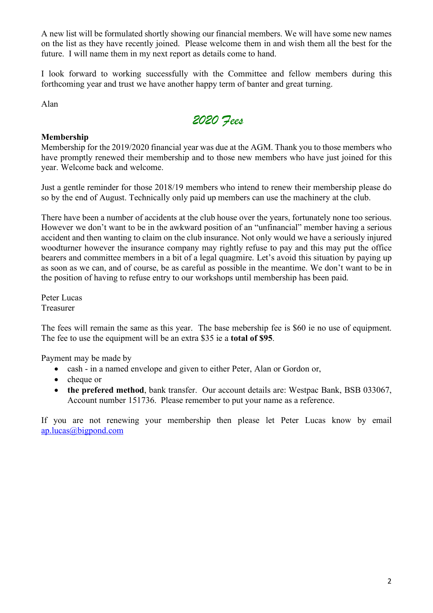A new list will be formulated shortly showing our financial members. We will have some new names on the list as they have recently joined. Please welcome them in and wish them all the best for the future. I will name them in my next report as details come to hand.

I look forward to working successfully with the Committee and fellow members during this forthcoming year and trust we have another happy term of banter and great turning.

Alan



## **Membership**

Membership for the 2019/2020 financial year was due at the AGM. Thank you to those members who have promptly renewed their membership and to those new members who have just joined for this year. Welcome back and welcome.

Just a gentle reminder for those 2018/19 members who intend to renew their membership please do so by the end of August. Technically only paid up members can use the machinery at the club.

There have been a number of accidents at the club house over the years, fortunately none too serious. However we don't want to be in the awkward position of an "unfinancial" member having a serious accident and then wanting to claim on the club insurance. Not only would we have a seriously injured woodturner however the insurance company may rightly refuse to pay and this may put the office bearers and committee members in a bit of a legal quagmire. Let's avoid this situation by paying up as soon as we can, and of course, be as careful as possible in the meantime. We don't want to be in the position of having to refuse entry to our workshops until membership has been paid.

Peter Lucas Treasurer

The fees will remain the same as this year. The base mebership fee is \$60 ie no use of equipment. The fee to use the equipment will be an extra \$35 ie a **total of \$95**.

Payment may be made by

- cash in a named envelope and given to either Peter, Alan or Gordon or,
- cheque or
- **the prefered method**, bank transfer. Our account details are: Westpac Bank, BSB 033067, Account number 151736. Please remember to put your name as a reference.

If you are not renewing your membership then please let Peter Lucas know by email ap.lucas@bigpond.com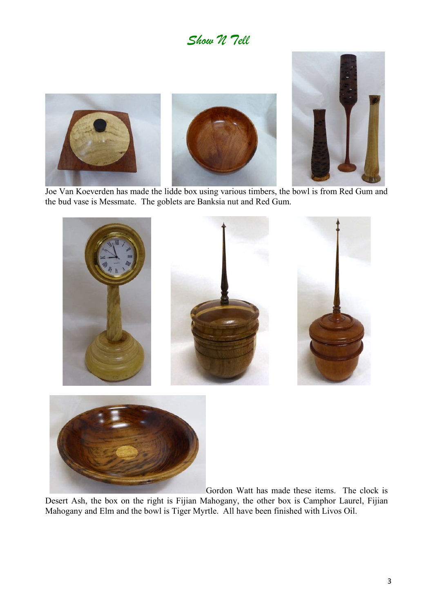## *Show N Tell*



 Joe Van Koeverden has made the lidde box using various timbers, the bowl is from Red Gum and the bud vase is Messmate. The goblets are Banksia nut and Red Gum.





Gordon Watt has made these items. The clock is

Desert Ash, the box on the right is Fijian Mahogany, the other box is Camphor Laurel, Fijian Mahogany and Elm and the bowl is Tiger Myrtle. All have been finished with Livos Oil.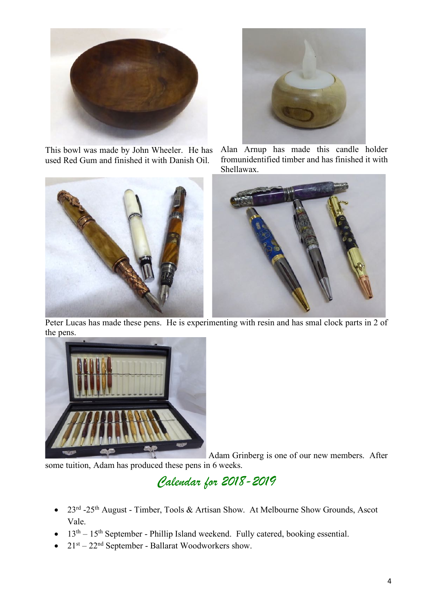

This bowl was made by John Wheeler. He has used Red Gum and finished it with Danish Oil.





Alan Arnup has made this candle holder fromunidentified timber and has finished it with Shellawax.



 Peter Lucas has made these pens. He is experimenting with resin and has smal clock parts in 2 of the pens.



Adam Grinberg is one of our new members. After some tuition, Adam has produced these pens in 6 weeks.

## *Calendar for 2018-2019*

- 23<sup>rd</sup> -25<sup>th</sup> August Timber, Tools & Artisan Show. At Melbourne Show Grounds, Ascot Vale.
- $\bullet$  13<sup>th</sup> 15<sup>th</sup> September Phillip Island weekend. Fully catered, booking essential.
- $21<sup>st</sup> 22<sup>nd</sup>$  September Ballarat Woodworkers show.